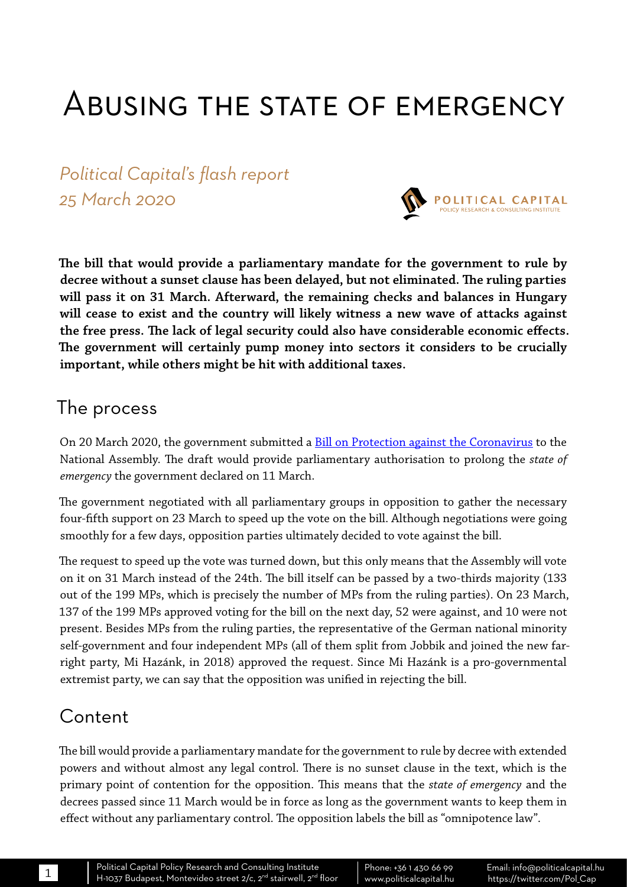# Abusing the state of emergency

*Political Capital's flash report 25 March 2020*



**The bill that would provide a parliamentary mandate for the government to rule by decree without a sunset clause has been delayed, but not eliminated. The ruling parties will pass it on 31 March. Afterward, the remaining checks and balances in Hungary will cease to exist and the country will likely witness a new wave of attacks against the free press. The lack of legal security could also have considerable economic effects. The government will certainly pump money into sectors it considers to be crucially important, while others might be hit with additional taxes.**

#### The process

On 20 March 2020, the government submitted a **[Bill on Protection against the Coronavirus](https://www.parlament.hu/irom41/09790/09790.pdf)** to the National Assembly. The draft would provide parliamentary authorisation to prolong the *state of emergency* the government declared on 11 March.

The government negotiated with all parliamentary groups in opposition to gather the necessary four-fifth support on 23 March to speed up the vote on the bill. Although negotiations were going smoothly for a few days, opposition parties ultimately decided to vote against the bill.

The request to speed up the vote was turned down, but this only means that the Assembly will vote on it on 31 March instead of the 24th. The bill itself can be passed by a two-thirds majority (133 out of the 199 MPs, which is precisely the number of MPs from the ruling parties). On 23 March, 137 of the 199 MPs approved voting for the bill on the next day, 52 were against, and 10 were not present. Besides MPs from the ruling parties, the representative of the German national minority self-government and four independent MPs (all of them split from Jobbik and joined the new farright party, Mi Hazánk, in 2018) approved the request. Since Mi Hazánk is a pro-governmental extremist party, we can say that the opposition was unified in rejecting the bill.

### Content

The bill would provide a parliamentary mandate for the government to rule by decree with extended powers and without almost any legal control. There is no sunset clause in the text, which is the primary point of contention for the opposition. This means that the *state of emergency* and the decrees passed since 11 March would be in force as long as the government wants to keep them in effect without any parliamentary control. The opposition labels the bill as "omnipotence law".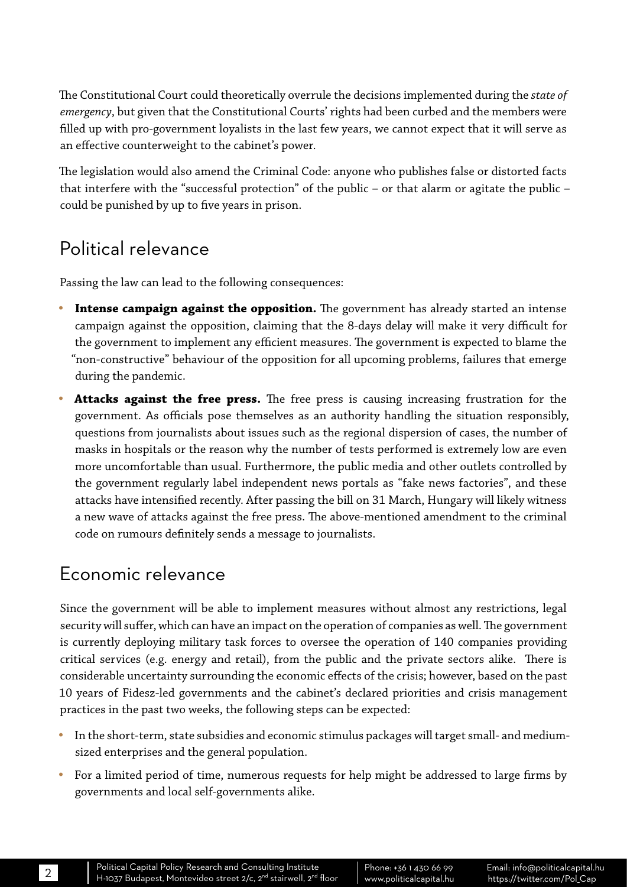The Constitutional Court could theoretically overrule the decisions implemented during the *state of emergency*, but given that the Constitutional Courts' rights had been curbed and the members were filled up with pro-government loyalists in the last few years, we cannot expect that it will serve as an effective counterweight to the cabinet's power.

The legislation would also amend the Criminal Code: anyone who publishes false or distorted facts that interfere with the "successful protection" of the public – or that alarm or agitate the public – could be punished by up to five years in prison.

## Political relevance

Passing the law can lead to the following consequences:

- Intense campaign against the opposition. The government has already started an intense campaign against the opposition, claiming that the 8-days delay will make it very difficult for the government to implement any efficient measures. The government is expected to blame the "non-constructive" behaviour of the opposition for all upcoming problems, failures that emerge during the pandemic.
- **Attacks against the free press.** The free press is causing increasing frustration for the government. As officials pose themselves as an authority handling the situation responsibly, questions from journalists about issues such as the regional dispersion of cases, the number of masks in hospitals or the reason why the number of tests performed is extremely low are even more uncomfortable than usual. Furthermore, the public media and other outlets controlled by the government regularly label independent news portals as "fake news factories", and these attacks have intensified recently. After passing the bill on 31 March, Hungary will likely witness a new wave of attacks against the free press. The above-mentioned amendment to the criminal code on rumours definitely sends a message to journalists.

### Economic relevance

Since the government will be able to implement measures without almost any restrictions, legal security will suffer, which can have an impact on the operation of companies as well. The government is currently deploying military task forces to oversee the operation of 140 companies providing critical services (e.g. energy and retail), from the public and the private sectors alike. There is considerable uncertainty surrounding the economic effects of the crisis; however, based on the past 10 years of Fidesz-led governments and the cabinet's declared priorities and crisis management practices in the past two weeks, the following steps can be expected:

- In the short-term, state subsidies and economic stimulus packages will target small- and mediumsized enterprises and the general population.
- For a limited period of time, numerous requests for help might be addressed to large firms by governments and local self-governments alike.